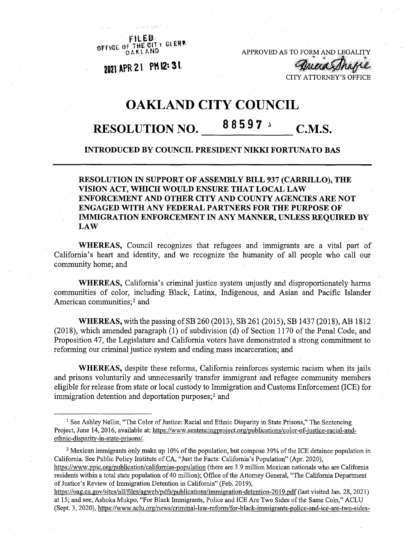FILED.<br>OF THE CITY CLERK OFFICE OF THE RID

APPROVED AS TO FORM AND LEGALITY

2021 APR 21 PM 12:31

**ATTORNEY'S OFFICE** 

maasThap

## **OAKLAND CITY COUNCIL**

## **RESOLUTION NO. 8 8 5.9 7**  $\cdot$  **C.M.S.**

## **INTRODUCED BY COUNCIL PRESIDENT NIKKI FORTUNATO BAS**

## **RESOLUTION IN SUPPORT OF ASSEMBLY BILL 937 (CARRILLO), THE VISION ACT, WHICH WOULD ENSURE THAT LOCAL LAW ENFORCEMENT AND OTHER CITY AND COUNTY AGENCIES ARE NOT ENGAGED WITH ANY FEDERAL PARTNERS FOR THE PURPOSE OF IMMIGRATION ENFORCEMENT IN ANY MANNER, UNLESS REQUIRED BY LAW**

**WHEREAS,** Council recognizes that refugees and immigrants are a vital part of California's heart and identity, and we recognize the humanity of all people who call our community home; and

**WHEREAS,** California's criminal justice system unjustly and disproportionately harms communities of color, including Black, Latinx, Indigenous, and Asian and Pacific Islander American communities;<sup>1</sup> and

**WHEREAS,** with the passing ofSB 260 (2013), SB 261 (2015), SB 1437 (2018), AB 1812  $(2018)$ , which amended paragraph  $(1)$  of subdivision  $(d)$  of Section 1170 of the Penal Code, and Proposition 47, the Legislature and California Voters have demonstrated a strong commitment to reforming our criminal justice system and ending mass incarceration; and

**WHEREAS,** despite these reforms, California reinforces systemic racism when its jails and prisons voluntarily and unnecessarily transfer immigrant and refugee community members eligible for release from state or local custody to Immigration and Customs Enforcement (ICE) for immigration detention and deportation purposes;<sup>2</sup> and

<sup>&</sup>lt;sup>1</sup> See Ashley Nellie, "The Color of Justice: Racial and Ethnic Disparity in State Prisons," The Sentencing Project, June 14, 2016, available at: [https://www.sentencingproiect.org/publications/color-of-iustice-racial-and](https://www.sentencingproiect.org/publications/color-of-iustice-racial-and-ethnic-disparity-in-state-prisons/)[ethnic-disparity-in-state-prisons/.](https://www.sentencingproiect.org/publications/color-of-iustice-racial-and-ethnic-disparity-in-state-prisons/)

<sup>&</sup>lt;sup>2</sup> Mexican immigrants only make up 10% of the population, but compose 39% of the ICE detainee population in California. See Public Policy Institute of CA, "Just the Facts: California's Population" (Apr. 2020), https://www.ppic.org/publication/californias-population (there are 3.9 million Mexican nationals who are California residents within a total state population of 40 million); Office of the Attorney General, "The California Department of Justice's Review of Immigration Detention in California" (Feb. 2019),

<https://oag.ca.gov/sites/all/files/agweb/pdfs/publications/immigration-detention-2019.pdf> (last visited Jan. 28,2021) at 15; and see, Ashoka Mukpo, "For Black Immigrants, Police and ICE Are Two Sides ofthe Same Coin," ACLU (Sept. 3, 2020), https:/[/www.aclu.org/news/criminal-law-reform/for-black-immigrants-police-and-ice-are-two-sides-](http://www.aclu.org/news/criminal-law-reform/for-black-immigrants-police-and-ice-are-two-sides-)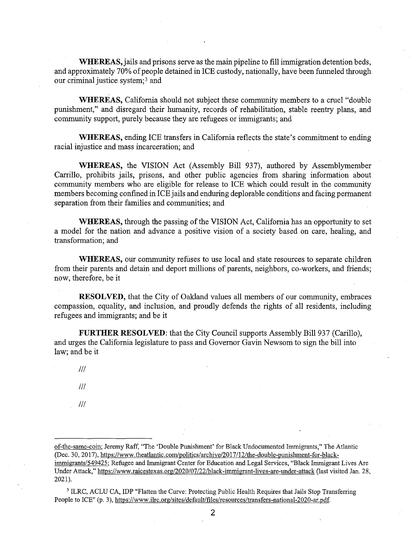**WHEREAS,**jails and prisons serve as the main pipeline to fill immigration detention beds, and approximately 70% of people detained in ICE custody, nationally, have been funneled through our criminal justice system;3 and

**WHEREAS,** California should not subject these community members to a cruel "double punishment," and disregard their humanity, records of rehabilitation, stable reentry plans, and community support, purely because they are refugees or immigrants; and

**WHEREAS,** ending ICE transfers in California reflects the state's commitment to ending racial injustice and mass incarceration; and

**WHEREAS,** the VISION Act (Assembly Bill 937), authored by Assemblymember Carrillo, prohibits jails, prisons, and other public agencies from sharing information about community members who are eligible for release to ICE which could result in the community members becoming confined in ICE jails and enduring deplorable conditions and facing permanent separation from their families and communities; and

WHEREAS, through the passing of the VISION Act, California has an opportunity to set a model for the nation and advance a positive vision of a society based on care, healing, and transformation; and

**WHEREAS,** our community refuses to use local and state resources to separate children from their parents and detain and deport millions of parents, neighbors, co-workers, and friends; now, therefore, be it

**RESOLVED,** that the City of Oakland values all members of our community, embraces compassion, equality, and inclusion, and proudly defends the rights of all residents, including refugees and immigrants; and be it

**FURTHER RESOLVED:** that the City Council supports Assembly Bill 937 (Carillo), and urges the California legislature to pass and Governor Gavin Newsom to sign the bill into law; and be it

*III*

*III*

*III*

of-the-same-coin: Jeremy Raff, "The 'Double Punishment' for Black Undocumented Immigrants," The Atlantic (Dec. 30, 2017), [https://www.theatlantic.com/politics/archive/2017/12/the-double-punishment-for-black](https://www.theatlantic.com/politics/archive/2017/12/the-double-punishment-for-black-immigrants/549425)[immigrants/549425](https://www.theatlantic.com/politics/archive/2017/12/the-double-punishment-for-black-immigrants/549425): Refugee and Immigrant Center for Education and Legal Services, "Black Immigrant Lives Are Under Attack," <https://www.raicestexas.org/2020/Q7/22/black-immigrant-lives-are-under-attack> (last visited Jan. 28, 2021).

<sup>3</sup> ILRC, ACLU CA, IDP "Flatten the Curve: Protecting Public Health Requires that Jails Stop Transferring People to ICE" (p. 3), https://www.ihc.org/sites/default/files/resources/transfers-national-2020-ar.pdf.

2